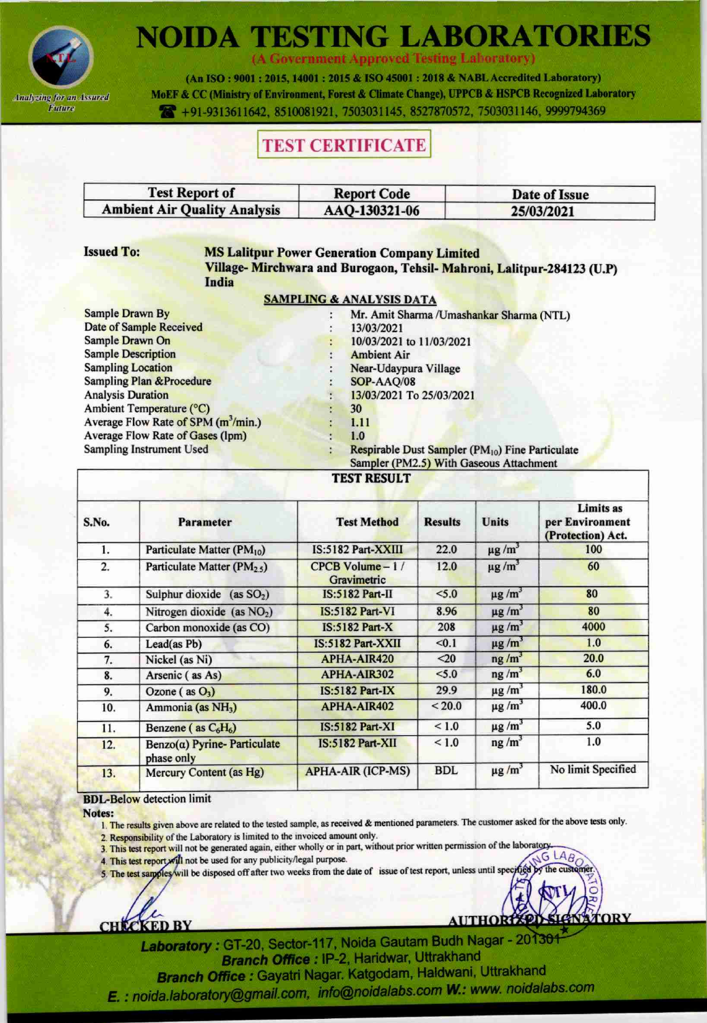

# **NOIDA TESTING LABORATORIES**

(A Government Approved Testing Laboratory)

(An ISO: 9001: 2015, 14001: 2015 & ISO 45001: 2018 & NABL Accredited Laboratory) MoEF & CC (Ministry of Environment, Forest & Climate Change), UPPCB & HSPCB Recognized Laboratory +91-9313611642, 8510081921, 7503031145, 8527870572, 7503031146, 9999794369

## **TEST CERTIFICATE**

| <b>Test Report of</b>               | <b>Report Code</b> | Date of Issue |  |
|-------------------------------------|--------------------|---------------|--|
| <b>Ambient Air Quality Analysis</b> | AAQ-130321-06      | 25/03/2021    |  |

**Issued To:** 

#### **MS Lalitpur Power Generation Company Limited**

Village-Mirchwara and Burogaon, Tehsil-Mahroni, Lalitpur-284123 (U.P) India

#### **SAMPLING & ANALYSIS DATA**

| Sample Drawn By                                 |
|-------------------------------------------------|
| Date of Sample Received                         |
| Sample Drawn On                                 |
| <b>Sample Description</b>                       |
| <b>Sampling Location</b>                        |
| <b>Sampling Plan &amp; Procedure</b>            |
| <b>Analysis Duration</b>                        |
| Ambient Temperature (°C)                        |
| Average Flow Rate of SPM (m <sup>3</sup> /min.) |
| Average Flow Rate of Gases (lpm)                |
| Sampling Instrument Used                        |
|                                                 |

Mr. Amit Sharma / Umashankar Sharma (NTL) ÷ 13/03/2021 10/03/2021 to 11/03/2021 **Ambient Air** Near-Udaypura Village SOP-AAQ/08 13/03/2021 To 25/03/2021 30 1.11  $1.0$ Respirable Dust Sampler (PM<sub>10</sub>) Fine Particulate Sampler (PM2.5) With Gaseous Attachment

#### **TEST RESULT**

| S.No. | <b>Parameter</b>                                 | <b>Test Method</b>                 | <b>Results</b> | <b>Units</b>           | <b>Limits as</b><br>per Environment<br>(Protection) Act. |
|-------|--------------------------------------------------|------------------------------------|----------------|------------------------|----------------------------------------------------------|
| 1.    | Particulate Matter (PM <sub>10</sub> )           | IS:5182 Part-XXIII                 | 22.0           | $\mu$ g/m <sup>3</sup> | 100                                                      |
| 2.    | Particulate Matter (PM <sub>25</sub> )           | $CPCB$ Volume $-1/$<br>Gravimetric | 12.0           | $\mu$ g/m <sup>3</sup> | 60                                                       |
| 3.    | Sulphur dioxide (as $SO2$ )                      | $IS:5182$ Part-II                  | < 5.0          | $\mu$ g/m <sup>3</sup> | 80                                                       |
| 4.    | Nitrogen dioxide (as NO <sub>2</sub> )           | <b>IS:5182 Part-VI</b>             | 8.96           | $\mu$ g/m <sup>3</sup> | 80                                                       |
| 5.    | Carbon monoxide (as CO)                          | $IS:5182$ Part-X                   | 208            | $\mu$ g/m <sup>3</sup> | 4000                                                     |
| 6.    | Lead(as Pb)                                      | IS:5182 Part-XXII                  | < 0.1          | $\mu$ g/m <sup>3</sup> | 1.0                                                      |
| 7.    | Nickel (as Ni)                                   | APHA-AIR420                        | $20$           | ng/m <sup>3</sup>      | 20.0                                                     |
| 8.    | Arsenic (as As)                                  | APHA-AIR302                        | < 5.0          | $ng/m^3$               | 6.0                                                      |
| 9.    | Ozone ( $as O3$ )                                | $IS:5182$ Part-IX                  | 29.9           | $\mu$ g/m <sup>3</sup> | 180.0                                                    |
| 10.   | Ammonia (as NH <sub>3</sub> )                    | APHA-AIR402                        | < 20.0         | $\mu$ g/m <sup>3</sup> | 400.0                                                    |
| 11.   | Benzene (as $C_6H_6$ )                           | <b>IS:5182 Part-XI</b>             | < 1.0          | $\mu$ g/m <sup>3</sup> | 5.0                                                      |
| 12.   | $Benzo(\alpha)$ Pyrine-Particulate<br>phase only | $IS:5182$ Part-XII                 | < 1.0          | ng/m <sup>3</sup>      | 1.0                                                      |
| 13.   | Mercury Content (as Hg)                          | <b>APHA-AIR (ICP-MS)</b>           | <b>BDL</b>     | $\mu$ g/m              | No limit Specified                                       |

#### **BDL-Below detection limit**

Notes:

- 1. The results given above are related to the tested sample, as received & mentioned parameters. The customer asked for the above tests only.
- 2. Responsibility of the Laboratory is limited to the invoiced amount only.
- 3. This test report will not be generated again, either wholly or in part, without prior written permission of the laborator  $LAB$
- 4. This test report will not be used for any publicity/legal purpose.
- 5. The test samples will be disposed off after two weeks from the date of issue of test report, unless until spe

**CHECKED BY** 

**AUTHORT** 

G

TORY

Laboratory: GT-20, Sector-117, Noida Gautam Budh Nagar - 20130 Branch Office : IP-2, Haridwar, Uttrakhand

Branch Office : Gayatri Nagar. Katgodam, Haldwani, Uttrakhand E. : noida.laboratory@gmail.com, info@noidalabs.com W.: www. noidalabs.com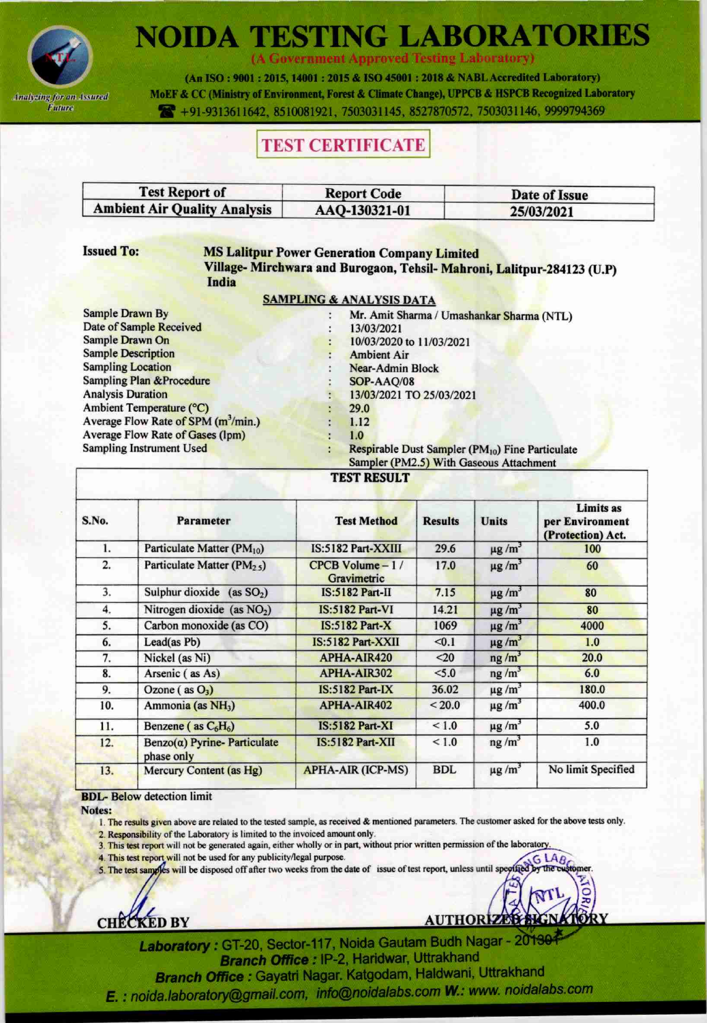

# **NOIDA TESTING LABORATORIES**

(A Government Approved Testing Laboratory)

(An ISO: 9001: 2015, 14001: 2015 & ISO 45001: 2018 & NABL Accredited Laboratory) MoEF & CC (Ministry of Environment, Forest & Climate Change), UPPCB & HSPCB Recognized Laboratory 491-9313611642, 8510081921, 7503031145, 8527870572, 7503031146, 9999794369

### **TEST CERTIFICATE**

| <b>Test Report of</b>               | <b>Report Code</b> | Date of Issue |  |  |
|-------------------------------------|--------------------|---------------|--|--|
| <b>Ambient Air Quality Analysis</b> | AAQ-130321-01      | 25/03/2021    |  |  |

#### **Issued To:**

### **MS Lalitpur Power Generation Company Limited**

Village-Mirchwara and Burogaon, Tehsil-Mahroni, Lalitpur-284123 (U.P) India

#### **SAMPLING & ANALYSIS DATA**

÷

| <b>Sample Drawn By</b>                        |
|-----------------------------------------------|
| <b>Date of Sample Received</b>                |
| Sample Drawn On                               |
| <b>Sample Description</b>                     |
| <b>Sampling Location</b>                      |
| <b>Sampling Plan &amp; Procedure</b>          |
| <b>Analysis Duration</b>                      |
| Ambient Temperature (°C)                      |
| Average Flow Rate of SPM (m <sup>3</sup> /min |
| Average Flow Rate of Gases (lpm)              |
| Sampling Instrument Used                      |
|                                               |

Mr. Amit Sharma / Umashankar Sharma (NTL) 13/03/2021 10/03/2020 to 11/03/2021 **Ambient Air** Near-Admin Block SOP-AAQ/08 13/03/2021 TO 25/03/2021 29.0  $1.12$  $1.0$ Respirable Dust Sampler (PM10) Fine Particulate Sampler (PM2.5) With Gaseous Attachment

#### **TEST RESULT**

| S.No. | Parameter                                         | <b>Test Method</b>                 | <b>Results</b> | <b>Units</b>           | <b>Limits as</b><br>per Environment<br>(Protection) Act. |
|-------|---------------------------------------------------|------------------------------------|----------------|------------------------|----------------------------------------------------------|
| 1.    | Particulate Matter (PM10)                         | IS:5182 Part-XXIII                 | 29.6           | $\mu$ g/m <sup>3</sup> | 100                                                      |
| 2.    | Particulate Matter (PM <sub>25</sub> )            | $CPCB$ Volume $-1/$<br>Gravimetric | 17.0           | $\mu$ g/m <sup>3</sup> | 60                                                       |
| 3.    | Sulphur dioxide (as $SO2$ )                       | $IS:5182$ Part-II                  | 7.15           | $\mu$ g/m <sup>3</sup> | 80                                                       |
| 4.    | Nitrogen dioxide (as NO <sub>2</sub> )            | <b>IS:5182 Part-VI</b>             | 14.21          | $\mu$ g/m <sup>3</sup> | 80                                                       |
| 5.    | Carbon monoxide (as CO)                           | $IS:5182$ Part- $X$                | 1069           | $\mu$ g/m <sup>3</sup> | 4000                                                     |
| 6.    | Lead(as Pb)                                       | IS:5182 Part-XXII                  | < 0.1          | $\mu$ g/m <sup>3</sup> | 1.0                                                      |
| 7.    | Nickel (as Ni)                                    | APHA-AIR420                        | $20$           | ng/m <sup>3</sup>      | 20.0                                                     |
| 8.    | Arsenic (as As)                                   | APHA-AIR302                        | < 5.0          | $ng/m^3$               | 6.0                                                      |
| 9.    | Ozone $(as O3)$                                   | $IS:5182$ Part- $IX$               | 36.02          | $\mu$ g/m <sup>3</sup> | 180.0                                                    |
| 10.   | Ammonia (as NH <sub>3</sub> )                     | <b>APHA-AIR402</b>                 | < 20.0         | $\mu$ g/m <sup>3</sup> | 400.0                                                    |
| 11.   | Benzene (as $C_6H_6$ )                            | <b>IS:5182 Part-XI</b>             | < 1.0          | $\mu$ g/m <sup>3</sup> | 5.0                                                      |
| 12.   | $Benzo(\alpha)$ Pyrine- Particulate<br>phase only | $IS:5182$ Part-XII                 | < 1.0          | $ng/m^3$               | 1.0                                                      |
| 13.   | Mercury Content (as Hg)                           | <b>APHA-AIR (ICP-MS)</b>           | <b>BDL</b>     | $\mu$ g/m <sup>3</sup> | No limit Specified                                       |

#### **BDL-** Below detection limit

Notes:

- 1. The results given above are related to the tested sample, as received & mentioned parameters. The customer asked for the above tests only.
- 2. Responsibility of the Laboratory is limited to the invoiced amount only.
- 3. This test report will not be generated again, either wholly or in part, without prior written permission of the laboratory
- 4. This test report will not be used for any publicity/legal purpose.
- 5. The test samples will be disposed off after two weeks from the date of issue of test report, unless until specified

**CHECKED BY** 

**AUTHORIZED &** 

Laboratory: GT-20, Sector-117, Noida Gautam Budh Nagar - 20139 Branch Office : IP-2, Haridwar, Uttrakhand Branch Office : Gayatri Nagar. Katgodam, Haldwani, Uttrakhand E. : noida.laboratory@gmail.com, info@noidalabs.com W.: www. noidalabs.com